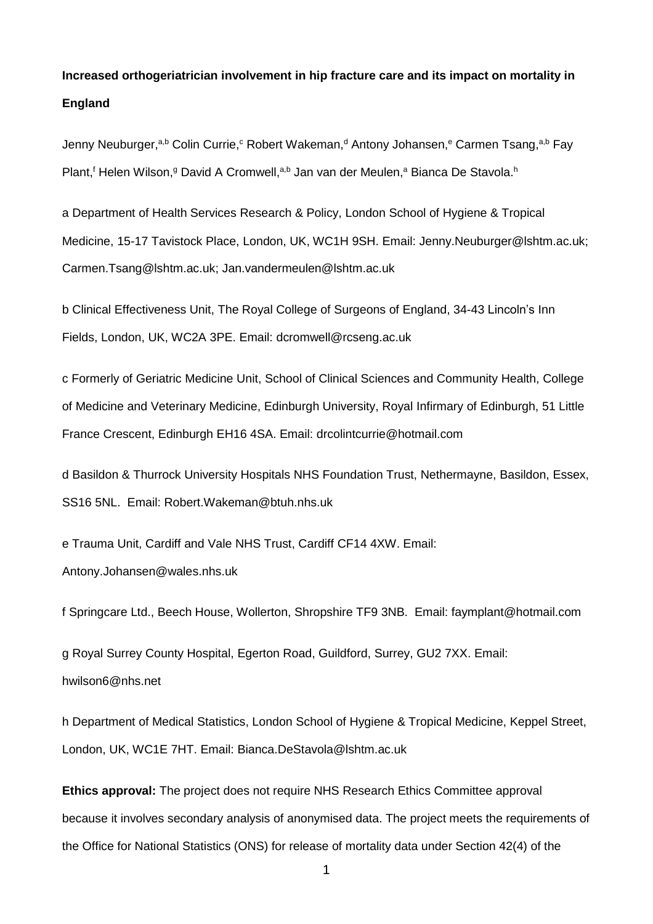# **Increased orthogeriatrician involvement in hip fracture care and its impact on mortality in England**

Jenny Neuburger,<sup>a,b</sup> Colin Currie,<sup>c</sup> Robert Wakeman,<sup>d</sup> Antony Johansen,<sup>e</sup> Carmen Tsang,<sup>a,b</sup> Fay Plant,<sup>f</sup> Helen Wilson,<sup>g</sup> David A Cromwell,<sup>a,b</sup> Jan van der Meulen,<sup>a</sup> Bianca De Stavola.<sup>h</sup>

a Department of Health Services Research & Policy, London School of Hygiene & Tropical Medicine, 15-17 Tavistock Place, London, UK, WC1H 9SH. Email: Jenny.Neuburger@lshtm.ac.uk; Carmen.Tsang@lshtm.ac.uk; Jan.vandermeulen@lshtm.ac.uk

b Clinical Effectiveness Unit, The Royal College of Surgeons of England, 34-43 Lincoln's Inn Fields, London, UK, WC2A 3PE. Email: dcromwell@rcseng.ac.uk

c Formerly of Geriatric Medicine Unit, School of Clinical Sciences and Community Health, College of Medicine and Veterinary Medicine, Edinburgh University, Royal Infirmary of Edinburgh, 51 Little France Crescent, Edinburgh EH16 4SA. Email: drcolintcurrie@hotmail.com

d Basildon & Thurrock University Hospitals NHS Foundation Trust, Nethermayne, Basildon, Essex, SS16 5NL. Email: Robert.Wakeman@btuh.nhs.uk

e Trauma Unit, Cardiff and Vale NHS Trust, Cardiff CF14 4XW. Email: Antony.Johansen@wales.nhs.uk

f Springcare Ltd., Beech House, Wollerton, Shropshire TF9 3NB. Email: faymplant@hotmail.com

g Royal Surrey County Hospital, Egerton Road, Guildford, Surrey, GU2 7XX. Email: hwilson6@nhs.net

h Department of Medical Statistics, London School of Hygiene & Tropical Medicine, Keppel Street, London, UK, WC1E 7HT. Email: Bianca.DeStavola@lshtm.ac.uk

**Ethics approval:** The project does not require NHS Research Ethics Committee approval because it involves secondary analysis of anonymised data. The project meets the requirements of the Office for National Statistics (ONS) for release of mortality data under Section 42(4) of the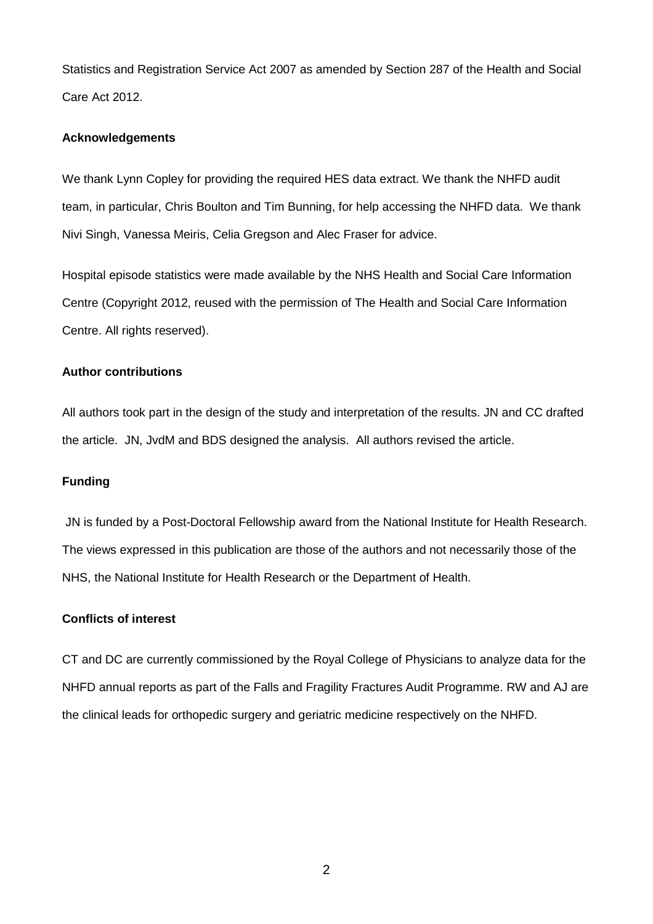Statistics and Registration Service Act 2007 as amended by Section 287 of the Health and Social Care Act 2012.

## **Acknowledgements**

We thank Lynn Copley for providing the required HES data extract. We thank the NHFD audit team, in particular, Chris Boulton and Tim Bunning, for help accessing the NHFD data. We thank Nivi Singh, Vanessa Meiris, Celia Gregson and Alec Fraser for advice.

Hospital episode statistics were made available by the NHS Health and Social Care Information Centre (Copyright 2012, reused with the permission of The Health and Social Care Information Centre. All rights reserved).

## **Author contributions**

All authors took part in the design of the study and interpretation of the results. JN and CC drafted the article. JN, JvdM and BDS designed the analysis. All authors revised the article.

## **Funding**

JN is funded by a Post-Doctoral Fellowship award from the National Institute for Health Research. The views expressed in this publication are those of the authors and not necessarily those of the NHS, the National Institute for Health Research or the Department of Health.

## **Conflicts of interest**

CT and DC are currently commissioned by the Royal College of Physicians to analyze data for the NHFD annual reports as part of the Falls and Fragility Fractures Audit Programme. RW and AJ are the clinical leads for orthopedic surgery and geriatric medicine respectively on the NHFD.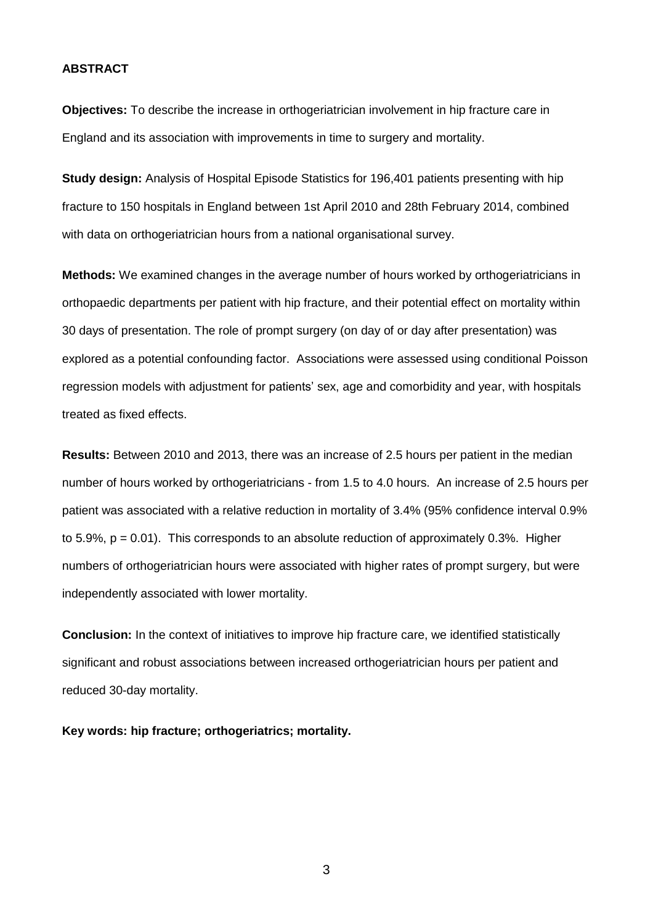## **ABSTRACT**

**Objectives:** To describe the increase in orthogeriatrician involvement in hip fracture care in England and its association with improvements in time to surgery and mortality.

**Study design:** Analysis of Hospital Episode Statistics for 196,401 patients presenting with hip fracture to 150 hospitals in England between 1st April 2010 and 28th February 2014, combined with data on orthogeriatrician hours from a national organisational survey.

**Methods:** We examined changes in the average number of hours worked by orthogeriatricians in orthopaedic departments per patient with hip fracture, and their potential effect on mortality within 30 days of presentation. The role of prompt surgery (on day of or day after presentation) was explored as a potential confounding factor. Associations were assessed using conditional Poisson regression models with adjustment for patients' sex, age and comorbidity and year, with hospitals treated as fixed effects.

**Results:** Between 2010 and 2013, there was an increase of 2.5 hours per patient in the median number of hours worked by orthogeriatricians - from 1.5 to 4.0 hours. An increase of 2.5 hours per patient was associated with a relative reduction in mortality of 3.4% (95% confidence interval 0.9% to 5.9%,  $p = 0.01$ . This corresponds to an absolute reduction of approximately 0.3%. Higher numbers of orthogeriatrician hours were associated with higher rates of prompt surgery, but were independently associated with lower mortality.

**Conclusion:** In the context of initiatives to improve hip fracture care, we identified statistically significant and robust associations between increased orthogeriatrician hours per patient and reduced 30-day mortality.

**Key words: hip fracture; orthogeriatrics; mortality.**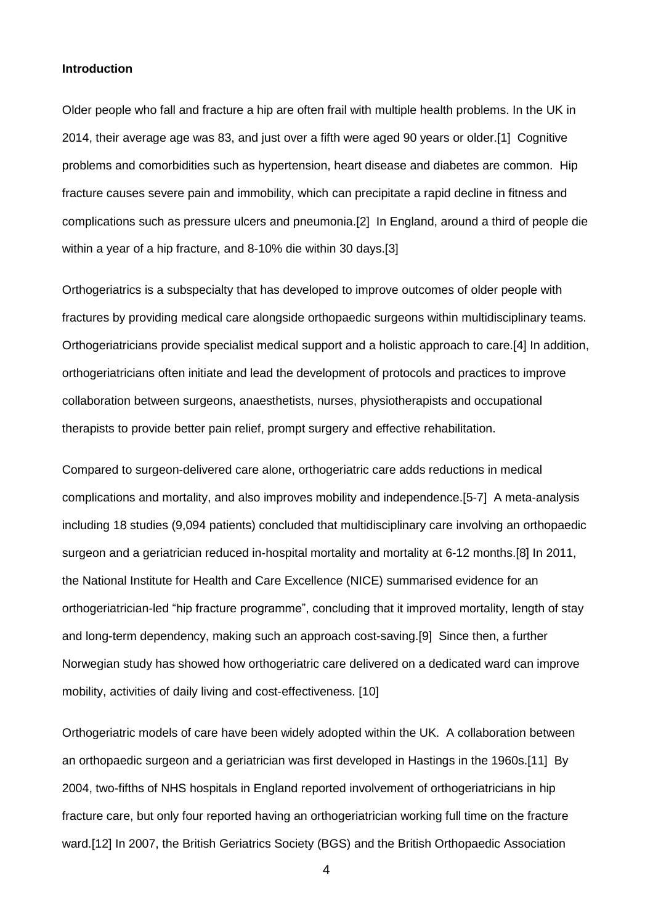### **Introduction**

Older people who fall and fracture a hip are often frail with multiple health problems. In the UK in 2014, their average age was 83, and just over a fifth were aged 90 years or older.[1] Cognitive problems and comorbidities such as hypertension, heart disease and diabetes are common. Hip fracture causes severe pain and immobility, which can precipitate a rapid decline in fitness and complications such as pressure ulcers and pneumonia.[2] In England, around a third of people die within a year of a hip fracture, and 8-10% die within 30 days.[3]

Orthogeriatrics is a subspecialty that has developed to improve outcomes of older people with fractures by providing medical care alongside orthopaedic surgeons within multidisciplinary teams. Orthogeriatricians provide specialist medical support and a holistic approach to care.[4] In addition, orthogeriatricians often initiate and lead the development of protocols and practices to improve collaboration between surgeons, anaesthetists, nurses, physiotherapists and occupational therapists to provide better pain relief, prompt surgery and effective rehabilitation.

Compared to surgeon-delivered care alone, orthogeriatric care adds reductions in medical complications and mortality, and also improves mobility and independence.[5-7] A meta-analysis including 18 studies (9,094 patients) concluded that multidisciplinary care involving an orthopaedic surgeon and a geriatrician reduced in-hospital mortality and mortality at 6-12 months.[8] In 2011, the National Institute for Health and Care Excellence (NICE) summarised evidence for an orthogeriatrician-led "hip fracture programme", concluding that it improved mortality, length of stay and long-term dependency, making such an approach cost-saving.[9] Since then, a further Norwegian study has showed how orthogeriatric care delivered on a dedicated ward can improve mobility, activities of daily living and cost-effectiveness. [10]

Orthogeriatric models of care have been widely adopted within the UK. A collaboration between an orthopaedic surgeon and a geriatrician was first developed in Hastings in the 1960s.[11] By 2004, two-fifths of NHS hospitals in England reported involvement of orthogeriatricians in hip fracture care, but only four reported having an orthogeriatrician working full time on the fracture ward.[12] In 2007, the British Geriatrics Society (BGS) and the British Orthopaedic Association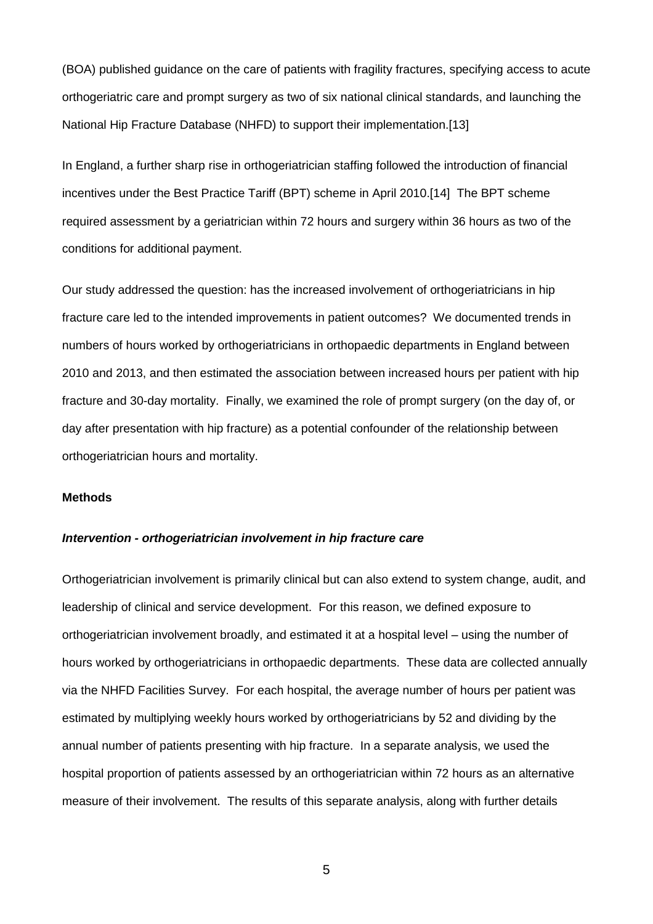(BOA) published guidance on the care of patients with fragility fractures, specifying access to acute orthogeriatric care and prompt surgery as two of six national clinical standards, and launching the National Hip Fracture Database (NHFD) to support their implementation.[13]

In England, a further sharp rise in orthogeriatrician staffing followed the introduction of financial incentives under the Best Practice Tariff (BPT) scheme in April 2010.[14] The BPT scheme required assessment by a geriatrician within 72 hours and surgery within 36 hours as two of the conditions for additional payment.

Our study addressed the question: has the increased involvement of orthogeriatricians in hip fracture care led to the intended improvements in patient outcomes? We documented trends in numbers of hours worked by orthogeriatricians in orthopaedic departments in England between 2010 and 2013, and then estimated the association between increased hours per patient with hip fracture and 30-day mortality. Finally, we examined the role of prompt surgery (on the day of, or day after presentation with hip fracture) as a potential confounder of the relationship between orthogeriatrician hours and mortality.

## **Methods**

## *Intervention - orthogeriatrician involvement in hip fracture care*

Orthogeriatrician involvement is primarily clinical but can also extend to system change, audit, and leadership of clinical and service development. For this reason, we defined exposure to orthogeriatrician involvement broadly, and estimated it at a hospital level – using the number of hours worked by orthogeriatricians in orthopaedic departments. These data are collected annually via the NHFD Facilities Survey. For each hospital, the average number of hours per patient was estimated by multiplying weekly hours worked by orthogeriatricians by 52 and dividing by the annual number of patients presenting with hip fracture. In a separate analysis, we used the hospital proportion of patients assessed by an orthogeriatrician within 72 hours as an alternative measure of their involvement. The results of this separate analysis, along with further details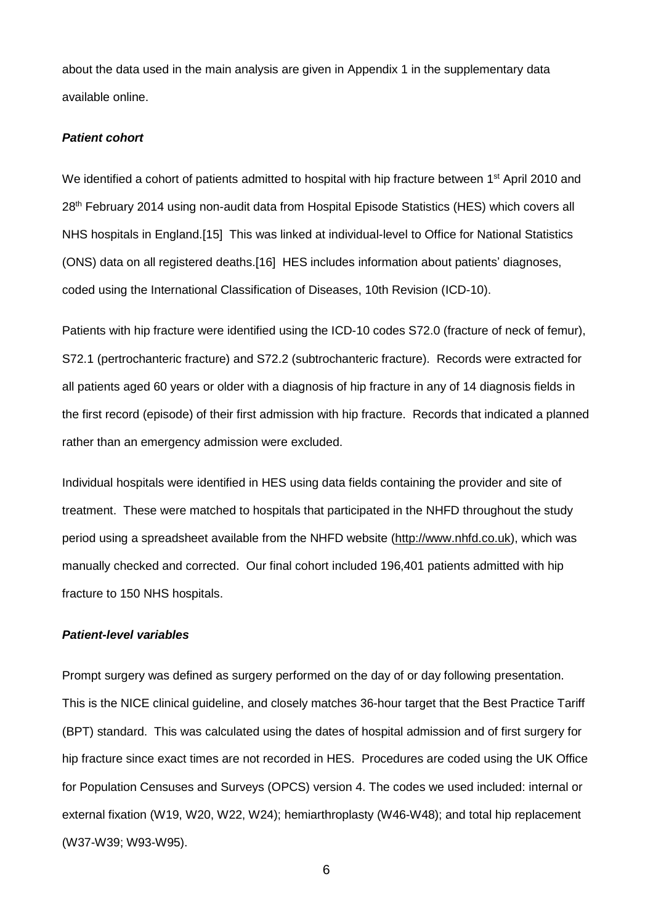about the data used in the main analysis are given in Appendix 1 in the supplementary data available online.

## *Patient cohort*

We identified a cohort of patients admitted to hospital with hip fracture between 1<sup>st</sup> April 2010 and 28<sup>th</sup> February 2014 using non-audit data from Hospital Episode Statistics (HES) which covers all NHS hospitals in England.[15] This was linked at individual-level to Office for National Statistics (ONS) data on all registered deaths.[16] HES includes information about patients' diagnoses, coded using the International Classification of Diseases, 10th Revision (ICD-10).

Patients with hip fracture were identified using the ICD-10 codes S72.0 (fracture of neck of femur), S72.1 (pertrochanteric fracture) and S72.2 (subtrochanteric fracture). Records were extracted for all patients aged 60 years or older with a diagnosis of hip fracture in any of 14 diagnosis fields in the first record (episode) of their first admission with hip fracture. Records that indicated a planned rather than an emergency admission were excluded.

Individual hospitals were identified in HES using data fields containing the provider and site of treatment. These were matched to hospitals that participated in the NHFD throughout the study period using a spreadsheet available from the NHFD website [\(http://www.nhfd.co.uk\)](http://www.nhfd.co.uk/), which was manually checked and corrected. Our final cohort included 196,401 patients admitted with hip fracture to 150 NHS hospitals.

#### *Patient-level variables*

Prompt surgery was defined as surgery performed on the day of or day following presentation. This is the NICE clinical guideline, and closely matches 36-hour target that the Best Practice Tariff (BPT) standard. This was calculated using the dates of hospital admission and of first surgery for hip fracture since exact times are not recorded in HES. Procedures are coded using the UK Office for Population Censuses and Surveys (OPCS) version 4. The codes we used included: internal or external fixation (W19, W20, W22, W24); hemiarthroplasty (W46-W48); and total hip replacement (W37-W39; W93-W95).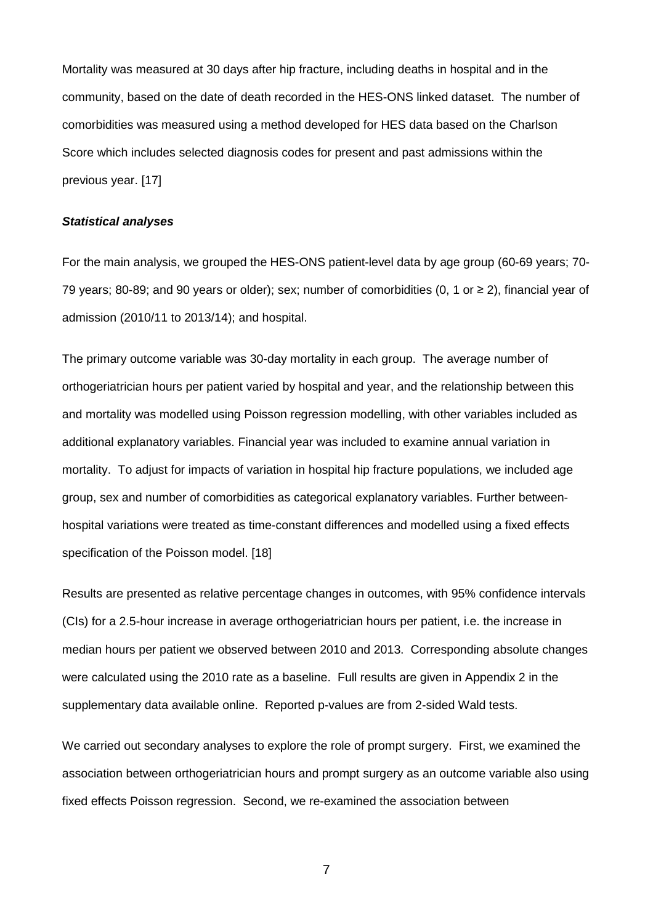Mortality was measured at 30 days after hip fracture, including deaths in hospital and in the community, based on the date of death recorded in the HES-ONS linked dataset. The number of comorbidities was measured using a method developed for HES data based on the Charlson Score which includes selected diagnosis codes for present and past admissions within the previous year. [17]

#### *Statistical analyses*

For the main analysis, we grouped the HES-ONS patient-level data by age group (60-69 years; 70- 79 years; 80-89; and 90 years or older); sex; number of comorbidities (0, 1 or ≥ 2), financial year of admission (2010/11 to 2013/14); and hospital.

The primary outcome variable was 30-day mortality in each group. The average number of orthogeriatrician hours per patient varied by hospital and year, and the relationship between this and mortality was modelled using Poisson regression modelling, with other variables included as additional explanatory variables. Financial year was included to examine annual variation in mortality. To adjust for impacts of variation in hospital hip fracture populations, we included age group, sex and number of comorbidities as categorical explanatory variables. Further betweenhospital variations were treated as time-constant differences and modelled using a fixed effects specification of the Poisson model. [18]

Results are presented as relative percentage changes in outcomes, with 95% confidence intervals (CIs) for a 2.5-hour increase in average orthogeriatrician hours per patient, i.e. the increase in median hours per patient we observed between 2010 and 2013. Corresponding absolute changes were calculated using the 2010 rate as a baseline. Full results are given in Appendix 2 in the supplementary data available online. Reported p-values are from 2-sided Wald tests.

We carried out secondary analyses to explore the role of prompt surgery. First, we examined the association between orthogeriatrician hours and prompt surgery as an outcome variable also using fixed effects Poisson regression. Second, we re-examined the association between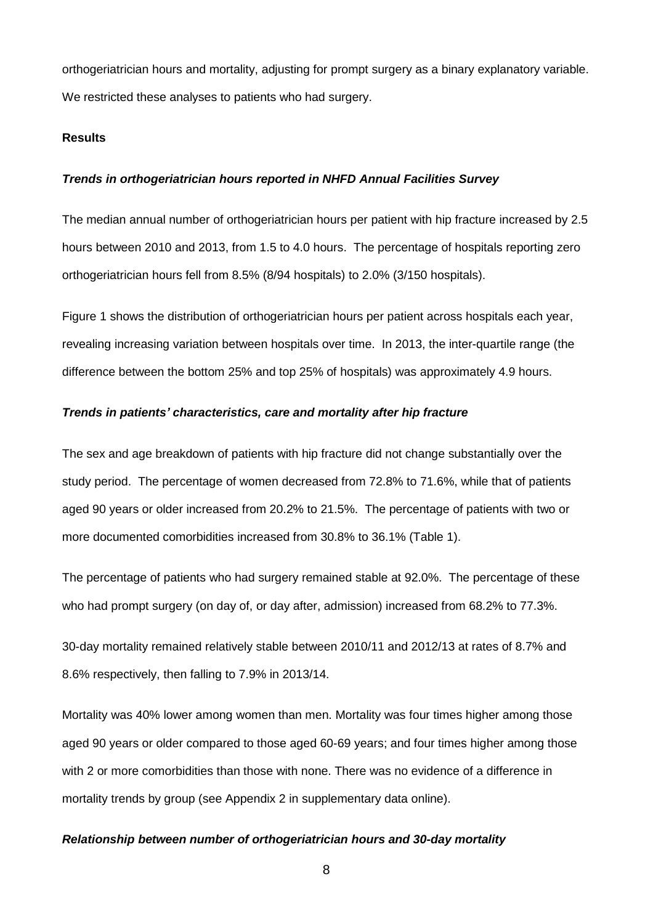orthogeriatrician hours and mortality, adjusting for prompt surgery as a binary explanatory variable. We restricted these analyses to patients who had surgery.

## **Results**

#### *Trends in orthogeriatrician hours reported in NHFD Annual Facilities Survey*

The median annual number of orthogeriatrician hours per patient with hip fracture increased by 2.5 hours between 2010 and 2013, from 1.5 to 4.0 hours. The percentage of hospitals reporting zero orthogeriatrician hours fell from 8.5% (8/94 hospitals) to 2.0% (3/150 hospitals).

Figure 1 shows the distribution of orthogeriatrician hours per patient across hospitals each year, revealing increasing variation between hospitals over time. In 2013, the inter-quartile range (the difference between the bottom 25% and top 25% of hospitals) was approximately 4.9 hours.

#### *Trends in patients' characteristics, care and mortality after hip fracture*

The sex and age breakdown of patients with hip fracture did not change substantially over the study period. The percentage of women decreased from 72.8% to 71.6%, while that of patients aged 90 years or older increased from 20.2% to 21.5%. The percentage of patients with two or more documented comorbidities increased from 30.8% to 36.1% (Table 1).

The percentage of patients who had surgery remained stable at 92.0%. The percentage of these who had prompt surgery (on day of, or day after, admission) increased from 68.2% to 77.3%.

30-day mortality remained relatively stable between 2010/11 and 2012/13 at rates of 8.7% and 8.6% respectively, then falling to 7.9% in 2013/14.

Mortality was 40% lower among women than men. Mortality was four times higher among those aged 90 years or older compared to those aged 60-69 years; and four times higher among those with 2 or more comorbidities than those with none. There was no evidence of a difference in mortality trends by group (see Appendix 2 in supplementary data online).

## *Relationship between number of orthogeriatrician hours and 30-day mortality*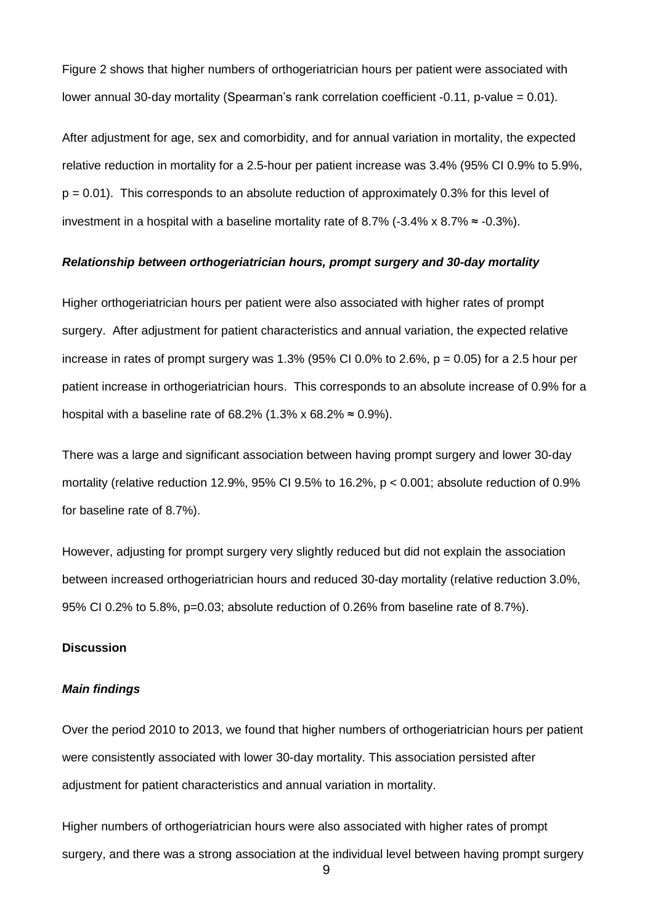Figure 2 shows that higher numbers of orthogeriatrician hours per patient were associated with lower annual 30-day mortality (Spearman's rank correlation coefficient -0.11, p-value = 0.01).

After adjustment for age, sex and comorbidity, and for annual variation in mortality, the expected relative reduction in mortality for a 2.5-hour per patient increase was 3.4% (95% CI 0.9% to 5.9%,  $p = 0.01$ ). This corresponds to an absolute reduction of approximately 0.3% for this level of investment in a hospital with a baseline mortality rate of 8.7% (-3.4% x 8.7%  $\approx$  -0.3%).

#### *Relationship between orthogeriatrician hours, prompt surgery and 30-day mortality*

Higher orthogeriatrician hours per patient were also associated with higher rates of prompt surgery. After adjustment for patient characteristics and annual variation, the expected relative increase in rates of prompt surgery was 1.3% (95% CI 0.0% to 2.6%,  $p = 0.05$ ) for a 2.5 hour per patient increase in orthogeriatrician hours. This corresponds to an absolute increase of 0.9% for a hospital with a baseline rate of 68.2% (1.3% x 68.2%  $\approx$  0.9%).

There was a large and significant association between having prompt surgery and lower 30-day mortality (relative reduction 12.9%, 95% CI 9.5% to 16.2%, p < 0.001; absolute reduction of 0.9% for baseline rate of 8.7%).

However, adjusting for prompt surgery very slightly reduced but did not explain the association between increased orthogeriatrician hours and reduced 30-day mortality (relative reduction 3.0%, 95% CI 0.2% to 5.8%, p=0.03; absolute reduction of 0.26% from baseline rate of 8.7%).

#### **Discussion**

#### *Main findings*

Over the period 2010 to 2013, we found that higher numbers of orthogeriatrician hours per patient were consistently associated with lower 30-day mortality. This association persisted after adjustment for patient characteristics and annual variation in mortality.

Higher numbers of orthogeriatrician hours were also associated with higher rates of prompt surgery, and there was a strong association at the individual level between having prompt surgery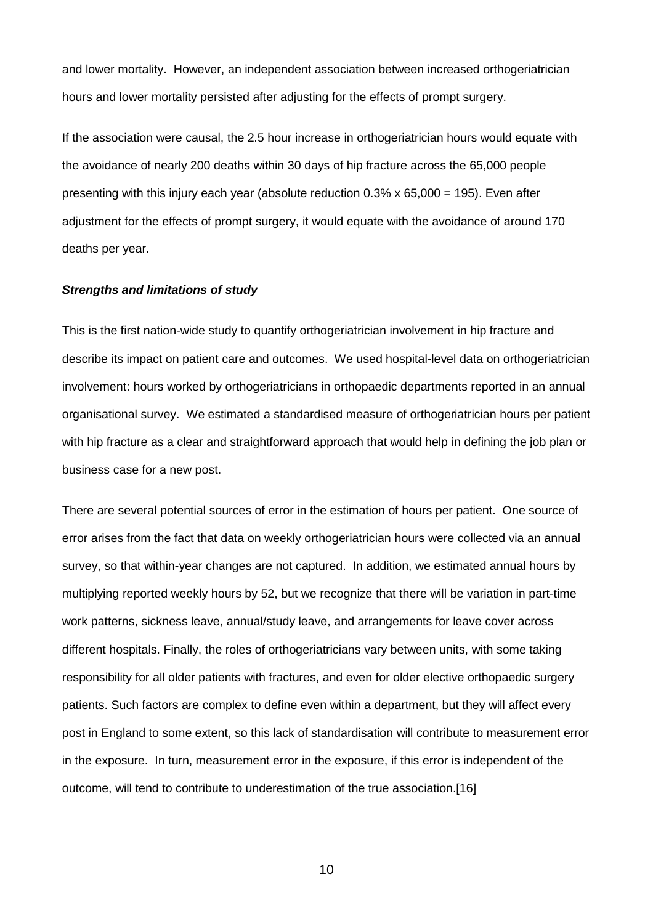and lower mortality. However, an independent association between increased orthogeriatrician hours and lower mortality persisted after adjusting for the effects of prompt surgery.

If the association were causal, the 2.5 hour increase in orthogeriatrician hours would equate with the avoidance of nearly 200 deaths within 30 days of hip fracture across the 65,000 people presenting with this injury each year (absolute reduction 0.3% x 65,000 = 195). Even after adjustment for the effects of prompt surgery, it would equate with the avoidance of around 170 deaths per year.

#### *Strengths and limitations of study*

This is the first nation-wide study to quantify orthogeriatrician involvement in hip fracture and describe its impact on patient care and outcomes. We used hospital-level data on orthogeriatrician involvement: hours worked by orthogeriatricians in orthopaedic departments reported in an annual organisational survey. We estimated a standardised measure of orthogeriatrician hours per patient with hip fracture as a clear and straightforward approach that would help in defining the job plan or business case for a new post.

There are several potential sources of error in the estimation of hours per patient. One source of error arises from the fact that data on weekly orthogeriatrician hours were collected via an annual survey, so that within-year changes are not captured. In addition, we estimated annual hours by multiplying reported weekly hours by 52, but we recognize that there will be variation in part-time work patterns, sickness leave, annual/study leave, and arrangements for leave cover across different hospitals. Finally, the roles of orthogeriatricians vary between units, with some taking responsibility for all older patients with fractures, and even for older elective orthopaedic surgery patients. Such factors are complex to define even within a department, but they will affect every post in England to some extent, so this lack of standardisation will contribute to measurement error in the exposure. In turn, measurement error in the exposure, if this error is independent of the outcome, will tend to contribute to underestimation of the true association.[16]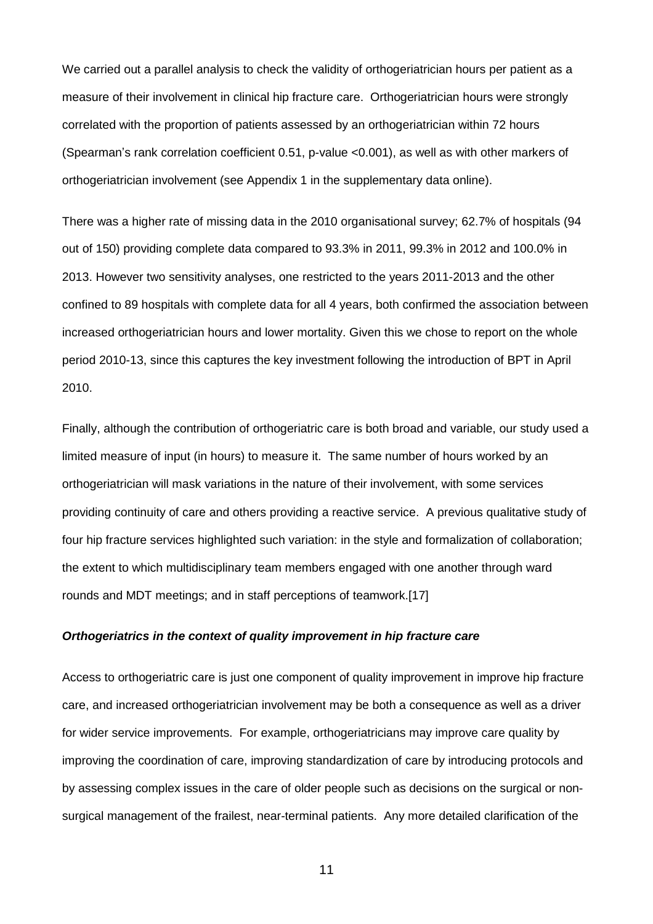We carried out a parallel analysis to check the validity of orthogeriatrician hours per patient as a measure of their involvement in clinical hip fracture care. Orthogeriatrician hours were strongly correlated with the proportion of patients assessed by an orthogeriatrician within 72 hours (Spearman's rank correlation coefficient 0.51, p-value <0.001), as well as with other markers of orthogeriatrician involvement (see Appendix 1 in the supplementary data online).

There was a higher rate of missing data in the 2010 organisational survey; 62.7% of hospitals (94 out of 150) providing complete data compared to 93.3% in 2011, 99.3% in 2012 and 100.0% in 2013. However two sensitivity analyses, one restricted to the years 2011-2013 and the other confined to 89 hospitals with complete data for all 4 years, both confirmed the association between increased orthogeriatrician hours and lower mortality. Given this we chose to report on the whole period 2010-13, since this captures the key investment following the introduction of BPT in April 2010.

Finally, although the contribution of orthogeriatric care is both broad and variable, our study used a limited measure of input (in hours) to measure it. The same number of hours worked by an orthogeriatrician will mask variations in the nature of their involvement, with some services providing continuity of care and others providing a reactive service. A previous qualitative study of four hip fracture services highlighted such variation: in the style and formalization of collaboration; the extent to which multidisciplinary team members engaged with one another through ward rounds and MDT meetings; and in staff perceptions of teamwork.[17]

## *Orthogeriatrics in the context of quality improvement in hip fracture care*

Access to orthogeriatric care is just one component of quality improvement in improve hip fracture care, and increased orthogeriatrician involvement may be both a consequence as well as a driver for wider service improvements. For example, orthogeriatricians may improve care quality by improving the coordination of care, improving standardization of care by introducing protocols and by assessing complex issues in the care of older people such as decisions on the surgical or nonsurgical management of the frailest, near-terminal patients. Any more detailed clarification of the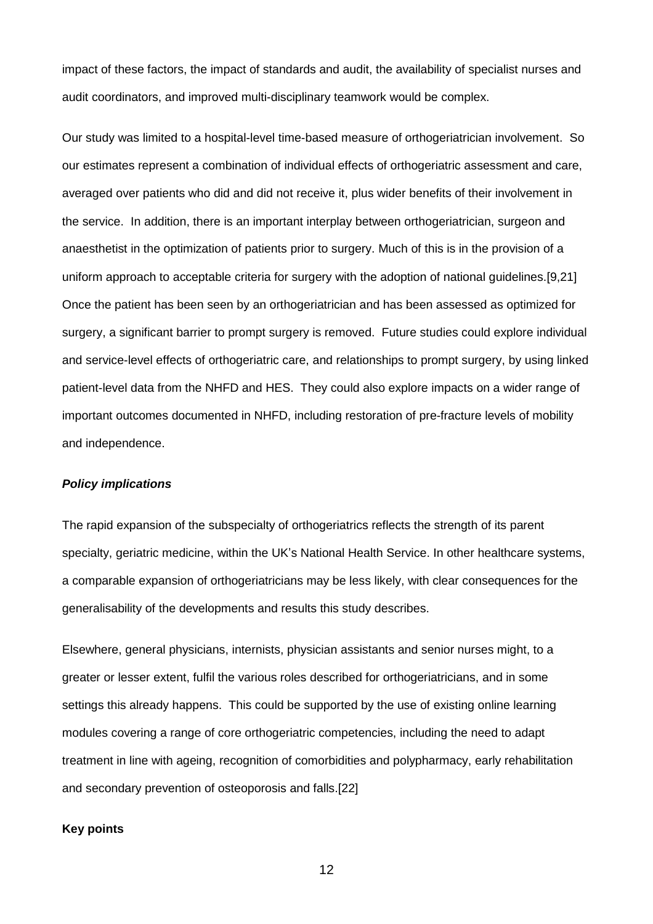impact of these factors, the impact of standards and audit, the availability of specialist nurses and audit coordinators, and improved multi-disciplinary teamwork would be complex.

Our study was limited to a hospital-level time-based measure of orthogeriatrician involvement. So our estimates represent a combination of individual effects of orthogeriatric assessment and care, averaged over patients who did and did not receive it, plus wider benefits of their involvement in the service. In addition, there is an important interplay between orthogeriatrician, surgeon and anaesthetist in the optimization of patients prior to surgery. Much of this is in the provision of a uniform approach to acceptable criteria for surgery with the adoption of national guidelines.[9,21] Once the patient has been seen by an orthogeriatrician and has been assessed as optimized for surgery, a significant barrier to prompt surgery is removed. Future studies could explore individual and service-level effects of orthogeriatric care, and relationships to prompt surgery, by using linked patient-level data from the NHFD and HES. They could also explore impacts on a wider range of important outcomes documented in NHFD, including restoration of pre-fracture levels of mobility and independence.

#### *Policy implications*

The rapid expansion of the subspecialty of orthogeriatrics reflects the strength of its parent specialty, geriatric medicine, within the UK's National Health Service. In other healthcare systems, a comparable expansion of orthogeriatricians may be less likely, with clear consequences for the generalisability of the developments and results this study describes.

Elsewhere, general physicians, internists, physician assistants and senior nurses might, to a greater or lesser extent, fulfil the various roles described for orthogeriatricians, and in some settings this already happens. This could be supported by the use of existing online learning modules covering a range of core orthogeriatric competencies, including the need to adapt treatment in line with ageing, recognition of comorbidities and polypharmacy, early rehabilitation and secondary prevention of osteoporosis and falls.[22]

### **Key points**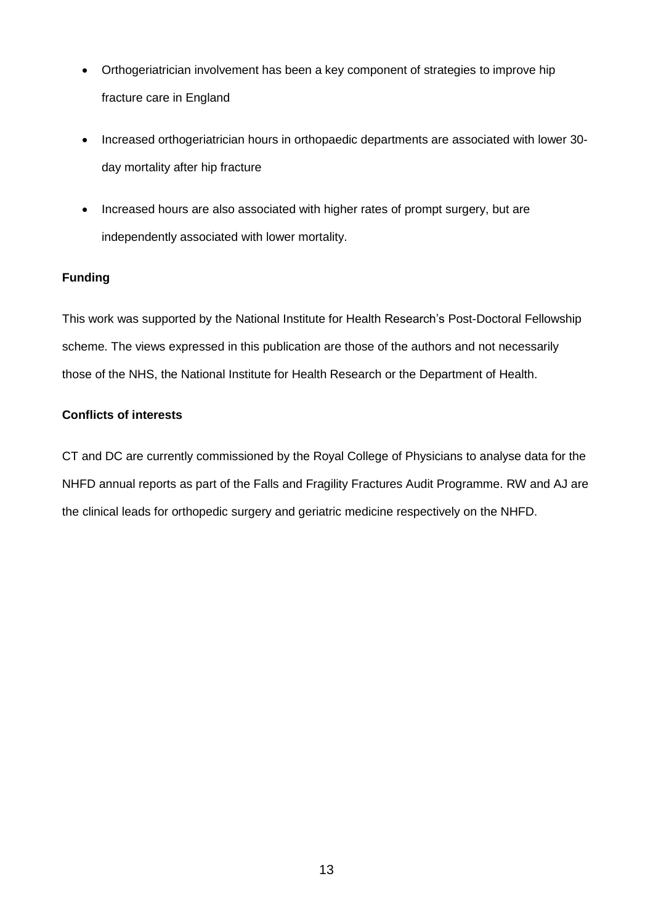- Orthogeriatrician involvement has been a key component of strategies to improve hip fracture care in England
- Increased orthogeriatrician hours in orthopaedic departments are associated with lower 30day mortality after hip fracture
- Increased hours are also associated with higher rates of prompt surgery, but are independently associated with lower mortality.

# **Funding**

This work was supported by the National Institute for Health Research's Post-Doctoral Fellowship scheme. The views expressed in this publication are those of the authors and not necessarily those of the NHS, the National Institute for Health Research or the Department of Health.

# **Conflicts of interests**

CT and DC are currently commissioned by the Royal College of Physicians to analyse data for the NHFD annual reports as part of the Falls and Fragility Fractures Audit Programme. RW and AJ are the clinical leads for orthopedic surgery and geriatric medicine respectively on the NHFD.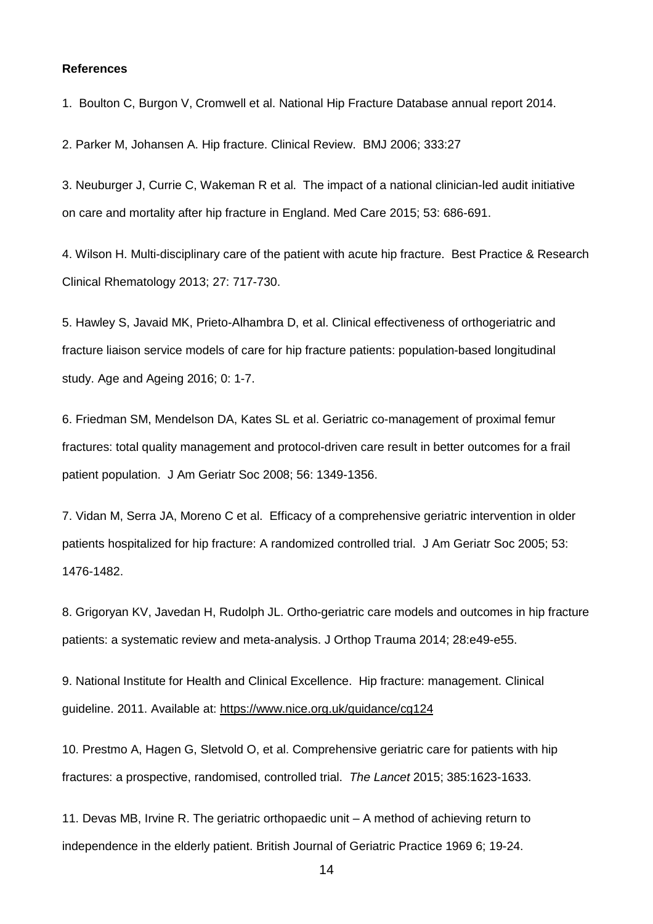#### **References**

1. Boulton C, Burgon V, Cromwell et al. National Hip Fracture Database annual report 2014.

2. Parker M, Johansen A. Hip fracture. Clinical Review. BMJ 2006; 333:27

3. Neuburger J, Currie C, Wakeman R et al. The impact of a national clinician-led audit initiative on care and mortality after hip fracture in England. Med Care 2015; 53: 686-691.

4. Wilson H. Multi-disciplinary care of the patient with acute hip fracture. Best Practice & Research Clinical Rhematology 2013; 27: 717-730.

5. Hawley S, Javaid MK, Prieto-Alhambra D, et al. Clinical effectiveness of orthogeriatric and fracture liaison service models of care for hip fracture patients: population-based longitudinal study. Age and Ageing 2016; 0: 1-7.

6. Friedman SM, Mendelson DA, Kates SL et al. Geriatric co-management of proximal femur fractures: total quality management and protocol-driven care result in better outcomes for a frail patient population. J Am Geriatr Soc 2008; 56: 1349-1356.

7. Vidan M, Serra JA, Moreno C et al. Efficacy of a comprehensive geriatric intervention in older patients hospitalized for hip fracture: A randomized controlled trial. J Am Geriatr Soc 2005; 53: 1476-1482.

8. Grigoryan KV, Javedan H, Rudolph JL. Ortho-geriatric care models and outcomes in hip fracture patients: a systematic review and meta-analysis. J Orthop Trauma 2014; 28:e49-e55.

9. National Institute for Health and Clinical Excellence. Hip fracture: management. Clinical guideline. 2011. Available at: <https://www.nice.org.uk/guidance/cg124>

10. Prestmo A, Hagen G, Sletvold O, et al. Comprehensive geriatric care for patients with hip fractures: a prospective, randomised, controlled trial. *The Lancet* 2015; 385:1623-1633.

11. Devas MB, Irvine R. The geriatric orthopaedic unit – A method of achieving return to independence in the elderly patient. British Journal of Geriatric Practice 1969 6; 19-24.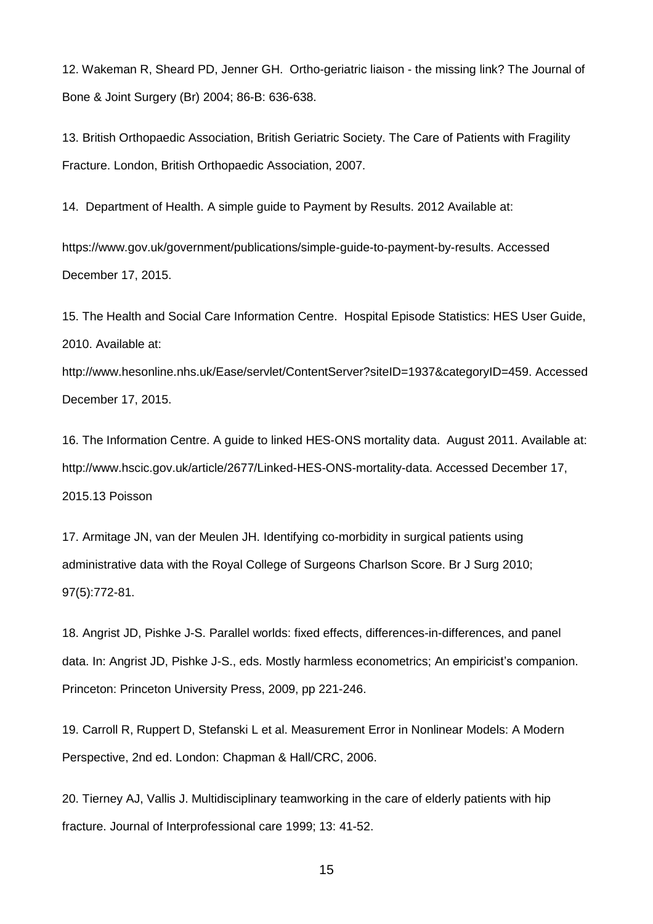12. Wakeman R, Sheard PD, Jenner GH. Ortho-geriatric liaison - the missing link? The Journal of Bone & Joint Surgery (Br) 2004; 86-B: 636-638.

13. British Orthopaedic Association, British Geriatric Society. The Care of Patients with Fragility Fracture. London, British Orthopaedic Association, 2007.

14. Department of Health. A simple guide to Payment by Results. 2012 Available at:

https://www.gov.uk/government/publications/simple-guide-to-payment-by-results. Accessed December 17, 2015.

15. The Health and Social Care Information Centre. Hospital Episode Statistics: HES User Guide, 2010. Available at:

http://www.hesonline.nhs.uk/Ease/servlet/ContentServer?siteID=1937&categoryID=459. Accessed December 17, 2015.

16. The Information Centre. A guide to linked HES-ONS mortality data. August 2011. Available at: http://www.hscic.gov.uk/article/2677/Linked-HES-ONS-mortality-data. Accessed December 17, 2015.13 Poisson

17. Armitage JN, van der Meulen JH. Identifying co-morbidity in surgical patients using administrative data with the Royal College of Surgeons Charlson Score. Br J Surg 2010; 97(5):772-81.

18. Angrist JD, Pishke J-S. Parallel worlds: fixed effects, differences-in-differences, and panel data. In: Angrist JD, Pishke J-S., eds. Mostly harmless econometrics; An empiricist's companion. Princeton: Princeton University Press, 2009, pp 221-246.

19. Carroll R, Ruppert D, Stefanski L et al. Measurement Error in Nonlinear Models: A Modern Perspective, 2nd ed. London: Chapman & Hall/CRC, 2006.

20. Tierney AJ, Vallis J. Multidisciplinary teamworking in the care of elderly patients with hip fracture. Journal of Interprofessional care 1999; 13: 41-52.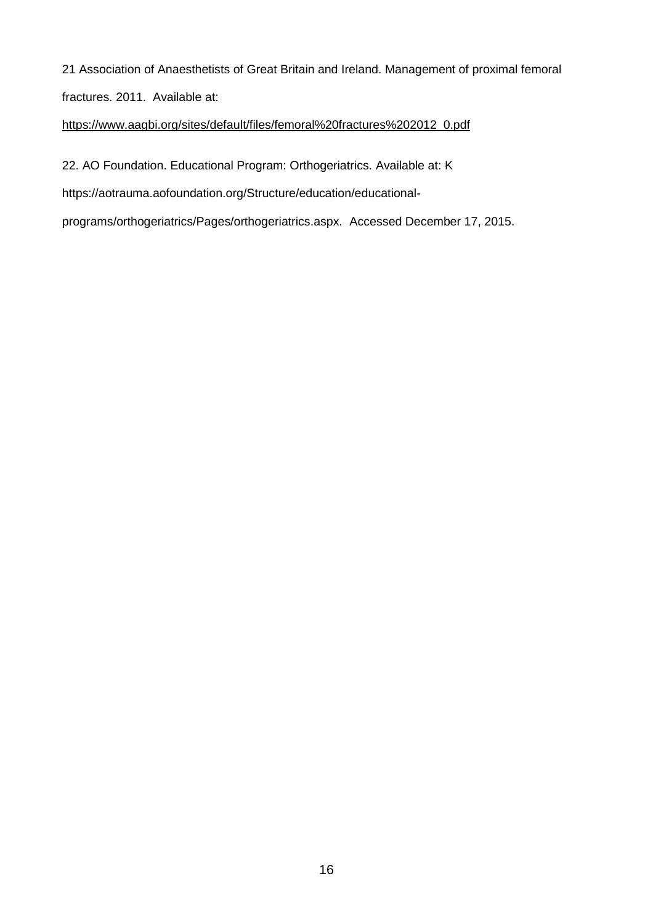21 Association of Anaesthetists of Great Britain and Ireland. Management of proximal femoral fractures. 2011. Available at:

# [https://www.aagbi.org/sites/default/files/femoral%20fractures%202012\\_0.pdf](https://www.aagbi.org/sites/default/files/femoral%20fractures%202012_0.pdf)

22. AO Foundation. Educational Program: Orthogeriatrics. Available at: K

https://aotrauma.aofoundation.org/Structure/education/educational-

programs/orthogeriatrics/Pages/orthogeriatrics.aspx. Accessed December 17, 2015.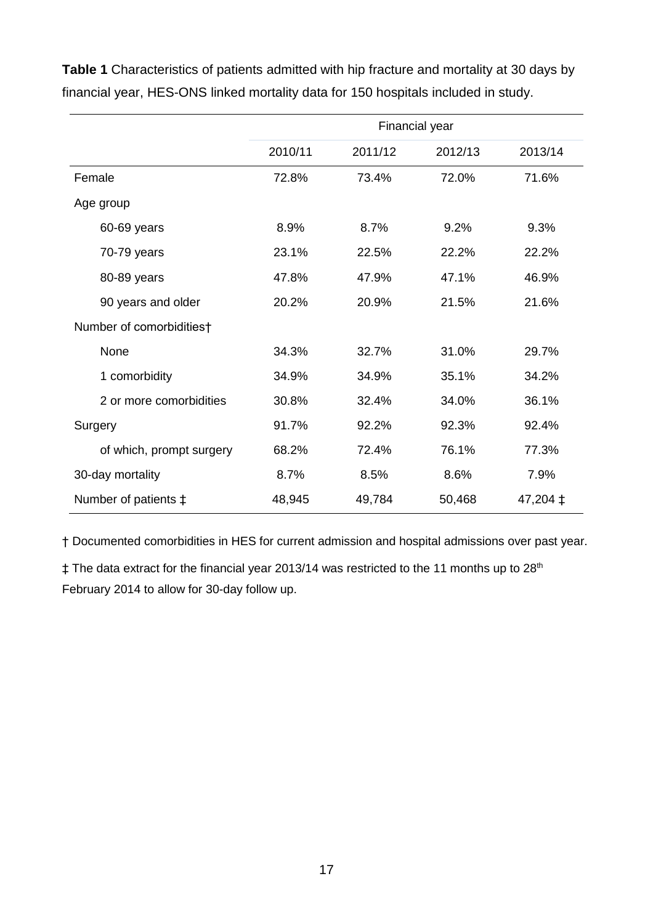Financial year 2010/11 2011/12 2012/13 2013/14 Female 72.8% 73.4% 72.0% 71.6% Age group 60-69 years 8.9% 8.7% 9.2% 9.3% 70-79 years 23.1% 22.5% 22.2% 22.2% 80-89 years 47.8% 47.9% 47.1% 46.9% 90 years and older 20.2% 20.9% 21.5% 21.6% Number of comorbidities† None 34.3% 32.7% 31.0% 29.7% 1 comorbidity 34.9% 34.9% 35.1% 34.2% 2 or more comorbidities 30.8% 32.4% 34.0% 36.1% Surgery 91.7% 92.2% 92.3% 92.4% of which, prompt surgery 68.2% 72.4% 76.1% 77.3% 30-day mortality 8.7% 8.5% 8.6% 7.9% Number of patients  $\pm$  48,945 49,784 50,468 47,204  $\pm$ 

**Table 1** Characteristics of patients admitted with hip fracture and mortality at 30 days by financial year, HES-ONS linked mortality data for 150 hospitals included in study.

† Documented comorbidities in HES for current admission and hospital admissions over past year.

 $\ddagger$  The data extract for the financial year 2013/14 was restricted to the 11 months up to 28<sup>th</sup> February 2014 to allow for 30-day follow up.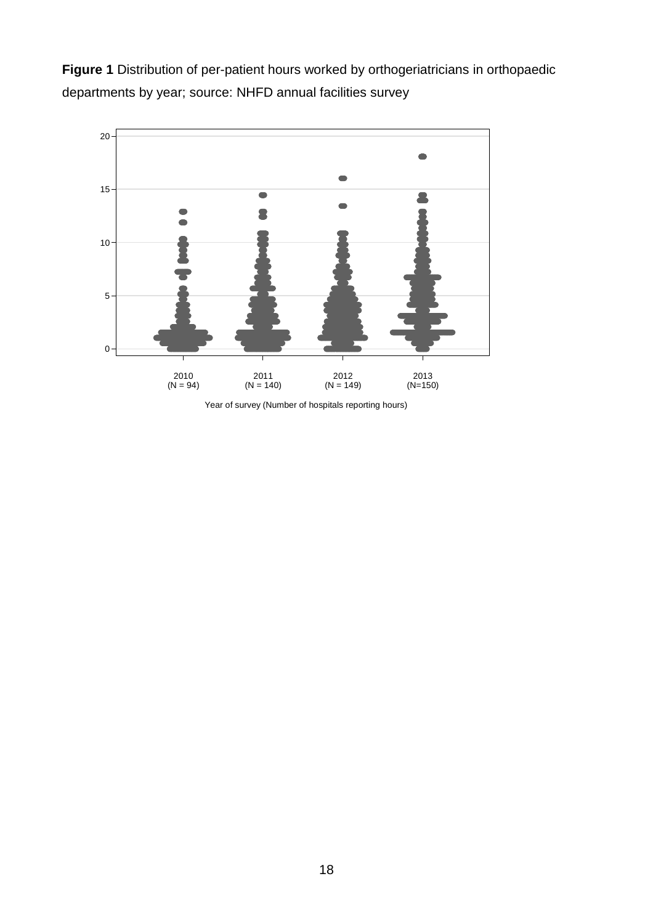**Figure 1** Distribution of per-patient hours worked by orthogeriatricians in orthopaedic departments by year; source: NHFD annual facilities survey



Year of survey (Number of hospitals reporting hours)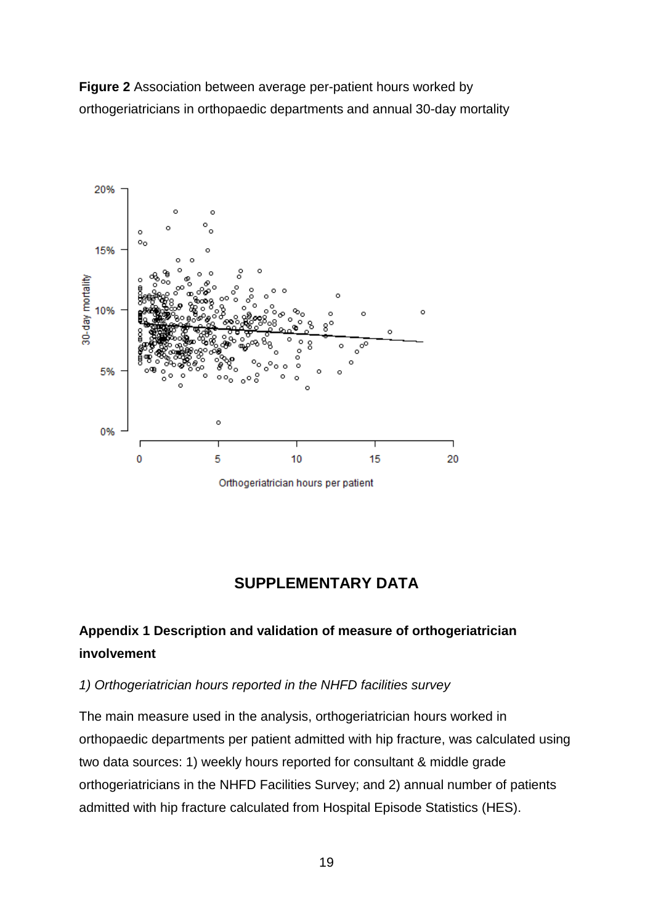**Figure 2** Association between average per-patient hours worked by orthogeriatricians in orthopaedic departments and annual 30-day mortality



# **SUPPLEMENTARY DATA**

# **Appendix 1 Description and validation of measure of orthogeriatrician involvement**

# *1) Orthogeriatrician hours reported in the NHFD facilities survey*

The main measure used in the analysis, orthogeriatrician hours worked in orthopaedic departments per patient admitted with hip fracture, was calculated using two data sources: 1) weekly hours reported for consultant & middle grade orthogeriatricians in the NHFD Facilities Survey; and 2) annual number of patients admitted with hip fracture calculated from Hospital Episode Statistics (HES).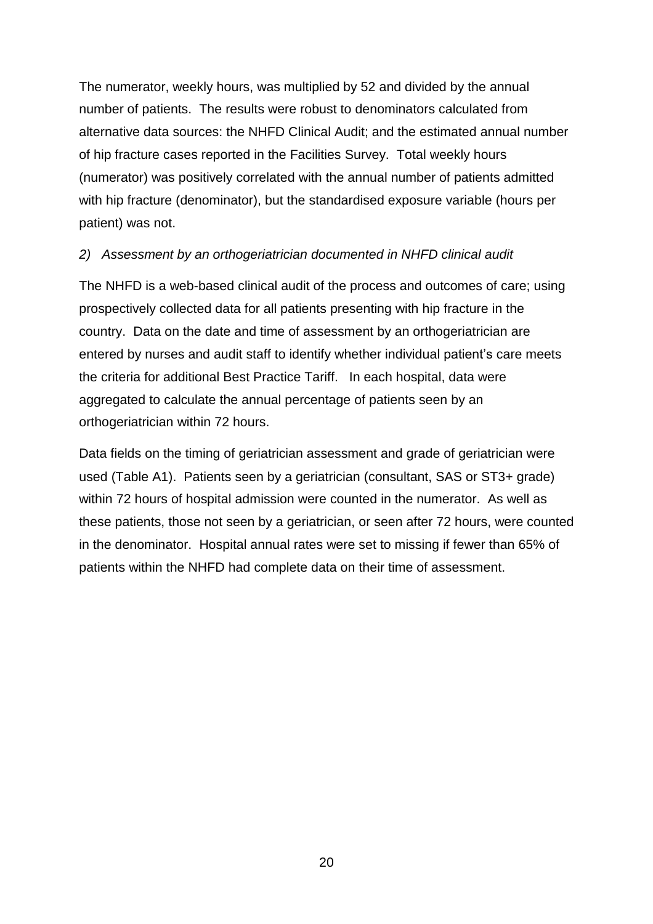The numerator, weekly hours, was multiplied by 52 and divided by the annual number of patients. The results were robust to denominators calculated from alternative data sources: the NHFD Clinical Audit; and the estimated annual number of hip fracture cases reported in the Facilities Survey. Total weekly hours (numerator) was positively correlated with the annual number of patients admitted with hip fracture (denominator), but the standardised exposure variable (hours per patient) was not.

# *2) Assessment by an orthogeriatrician documented in NHFD clinical audit*

The NHFD is a web-based clinical audit of the process and outcomes of care; using prospectively collected data for all patients presenting with hip fracture in the country. Data on the date and time of assessment by an orthogeriatrician are entered by nurses and audit staff to identify whether individual patient's care meets the criteria for additional Best Practice Tariff. In each hospital, data were aggregated to calculate the annual percentage of patients seen by an orthogeriatrician within 72 hours.

Data fields on the timing of geriatrician assessment and grade of geriatrician were used (Table A1). Patients seen by a geriatrician (consultant, SAS or ST3+ grade) within 72 hours of hospital admission were counted in the numerator. As well as these patients, those not seen by a geriatrician, or seen after 72 hours, were counted in the denominator. Hospital annual rates were set to missing if fewer than 65% of patients within the NHFD had complete data on their time of assessment.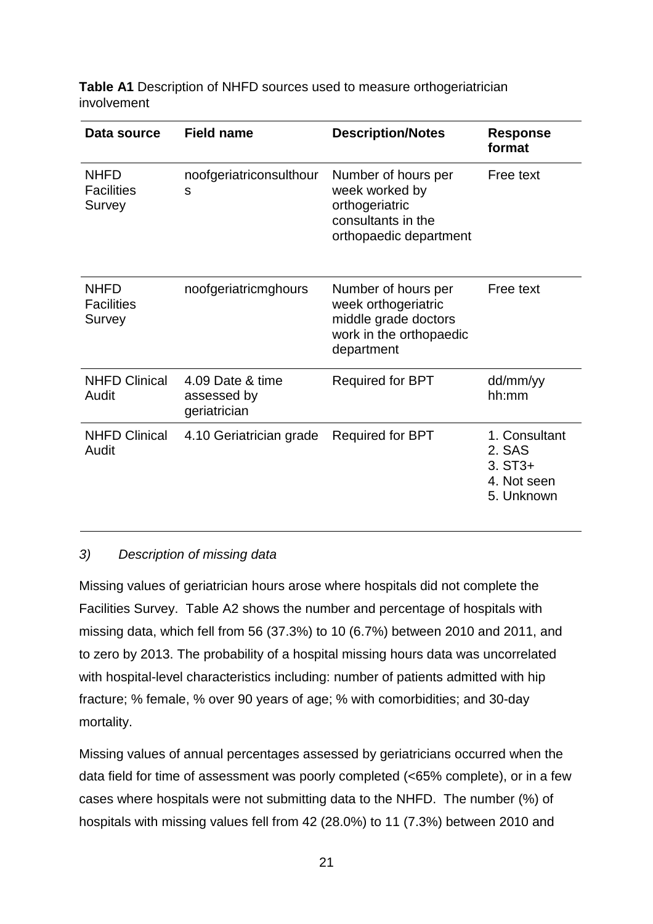| <b>Table A1</b> Description of NHFD sources used to measure orthogeriatrician |  |
|-------------------------------------------------------------------------------|--|
| involvement                                                                   |  |

| Data source                                | <b>Field name</b>                               | <b>Description/Notes</b>                                                                                    | <b>Response</b><br>format                                         |
|--------------------------------------------|-------------------------------------------------|-------------------------------------------------------------------------------------------------------------|-------------------------------------------------------------------|
| <b>NHFD</b><br><b>Facilities</b><br>Survey | noofgeriatriconsulthour<br>S                    | Number of hours per<br>week worked by<br>orthogeriatric<br>consultants in the<br>orthopaedic department     | Free text                                                         |
| <b>NHFD</b><br><b>Facilities</b><br>Survey | noofgeriatricmghours                            | Number of hours per<br>week orthogeriatric<br>middle grade doctors<br>work in the orthopaedic<br>department | Free text                                                         |
| <b>NHFD Clinical</b><br>Audit              | 4.09 Date & time<br>assessed by<br>geriatrician | <b>Required for BPT</b>                                                                                     | dd/mm/yy<br>hh:mm                                                 |
| <b>NHFD Clinical</b><br>Audit              | 4.10 Geriatrician grade                         | <b>Required for BPT</b>                                                                                     | 1. Consultant<br>2. SAS<br>$3. ST3+$<br>4. Not seen<br>5. Unknown |

# *3) Description of missing data*

Missing values of geriatrician hours arose where hospitals did not complete the Facilities Survey. Table A2 shows the number and percentage of hospitals with missing data, which fell from 56 (37.3%) to 10 (6.7%) between 2010 and 2011, and to zero by 2013. The probability of a hospital missing hours data was uncorrelated with hospital-level characteristics including: number of patients admitted with hip fracture; % female, % over 90 years of age; % with comorbidities; and 30-day mortality.

Missing values of annual percentages assessed by geriatricians occurred when the data field for time of assessment was poorly completed (<65% complete), or in a few cases where hospitals were not submitting data to the NHFD. The number (%) of hospitals with missing values fell from 42 (28.0%) to 11 (7.3%) between 2010 and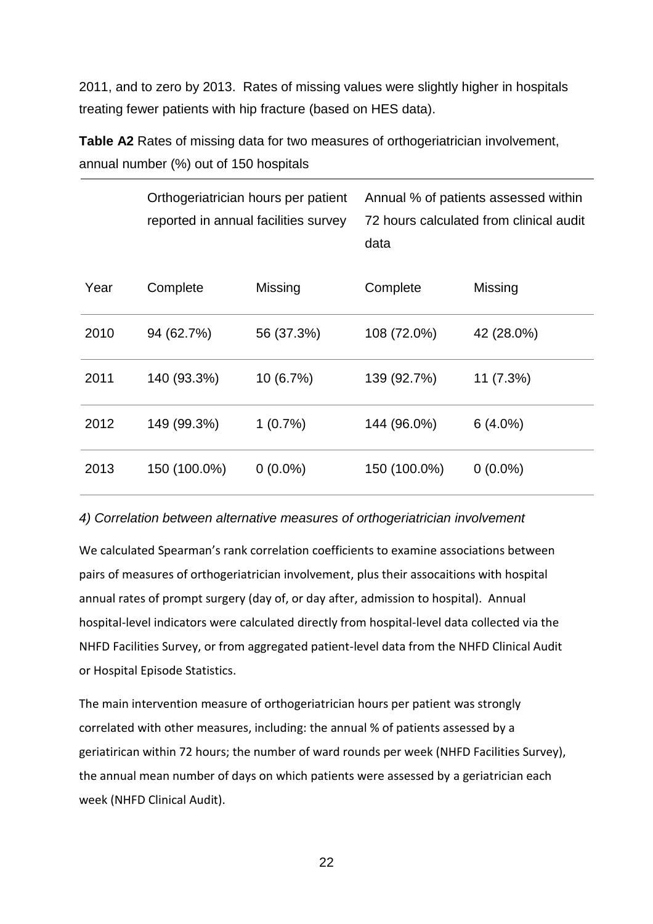2011, and to zero by 2013. Rates of missing values were slightly higher in hospitals treating fewer patients with hip fracture (based on HES data).

**Table A2** Rates of missing data for two measures of orthogeriatrician involvement, annual number (%) out of 150 hospitals

|      | Orthogeriatrician hours per patient<br>reported in annual facilities survey |            | Annual % of patients assessed within<br>72 hours calculated from clinical audit<br>data |            |  |
|------|-----------------------------------------------------------------------------|------------|-----------------------------------------------------------------------------------------|------------|--|
| Year | Complete                                                                    | Missing    | Complete                                                                                | Missing    |  |
| 2010 | 94 (62.7%)                                                                  | 56 (37.3%) | 108 (72.0%)                                                                             | 42 (28.0%) |  |
| 2011 | 140 (93.3%)                                                                 | 10(6.7%)   | 139 (92.7%)                                                                             | 11(7.3%)   |  |
| 2012 | 149 (99.3%)                                                                 | 1(0.7%)    | 144 (96.0%)                                                                             | $6(4.0\%)$ |  |
| 2013 | 150 (100.0%)                                                                | $0(0.0\%)$ | 150 (100.0%)                                                                            | $0(0.0\%)$ |  |

# *4) Correlation between alternative measures of orthogeriatrician involvement*

We calculated Spearman's rank correlation coefficients to examine associations between pairs of measures of orthogeriatrician involvement, plus their assocaitions with hospital annual rates of prompt surgery (day of, or day after, admission to hospital). Annual hospital-level indicators were calculated directly from hospital-level data collected via the NHFD Facilities Survey, or from aggregated patient-level data from the NHFD Clinical Audit or Hospital Episode Statistics.

The main intervention measure of orthogeriatrician hours per patient was strongly correlated with other measures, including: the annual % of patients assessed by a geriatirican within 72 hours; the number of ward rounds per week (NHFD Facilities Survey), the annual mean number of days on which patients were assessed by a geriatrician each week (NHFD Clinical Audit).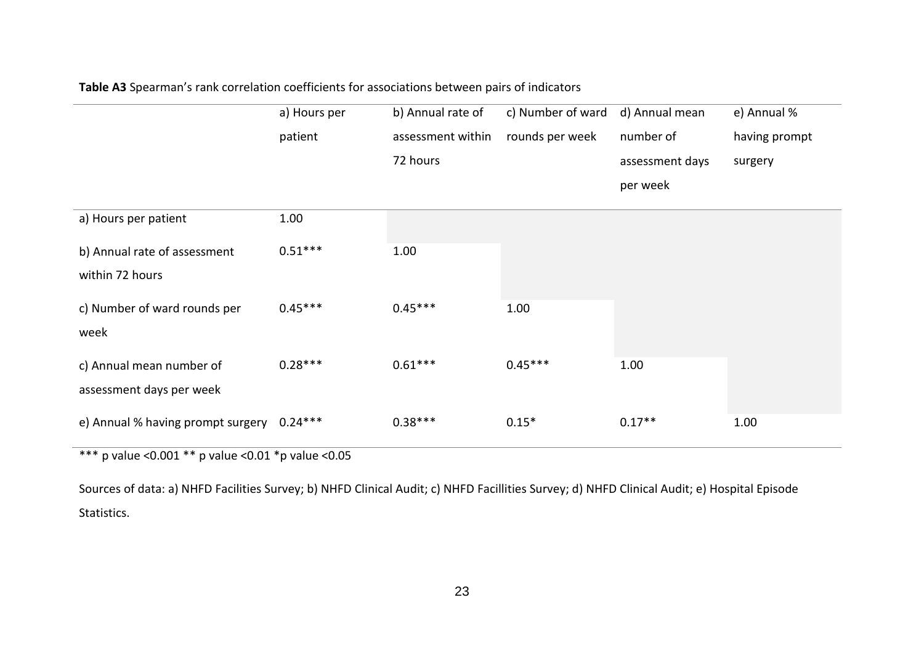|                                   | a) Hours per | b) Annual rate of | c) Number of ward | d) Annual mean  | e) Annual %   |
|-----------------------------------|--------------|-------------------|-------------------|-----------------|---------------|
|                                   | patient      | assessment within | rounds per week   | number of       | having prompt |
|                                   |              | 72 hours          |                   | assessment days | surgery       |
|                                   |              |                   |                   | per week        |               |
| a) Hours per patient              | 1.00         |                   |                   |                 |               |
| b) Annual rate of assessment      | $0.51***$    | 1.00              |                   |                 |               |
| within 72 hours                   |              |                   |                   |                 |               |
| c) Number of ward rounds per      | $0.45***$    | $0.45***$         | 1.00              |                 |               |
| week                              |              |                   |                   |                 |               |
| c) Annual mean number of          | $0.28***$    | $0.61***$         | $0.45***$         | 1.00            |               |
| assessment days per week          |              |                   |                   |                 |               |
| e) Annual % having prompt surgery | $0.24***$    | $0.38***$         | $0.15*$           | $0.17**$        | 1.00          |

# **Table A3** Spearman's rank correlation coefficients for associations between pairs of indicators

\*\*\* p value <0.001 \*\* p value <0.01 \*p value <0.05

Sources of data: a) NHFD Facilities Survey; b) NHFD Clinical Audit; c) NHFD Facillities Survey; d) NHFD Clinical Audit; e) Hospital Episode Statistics.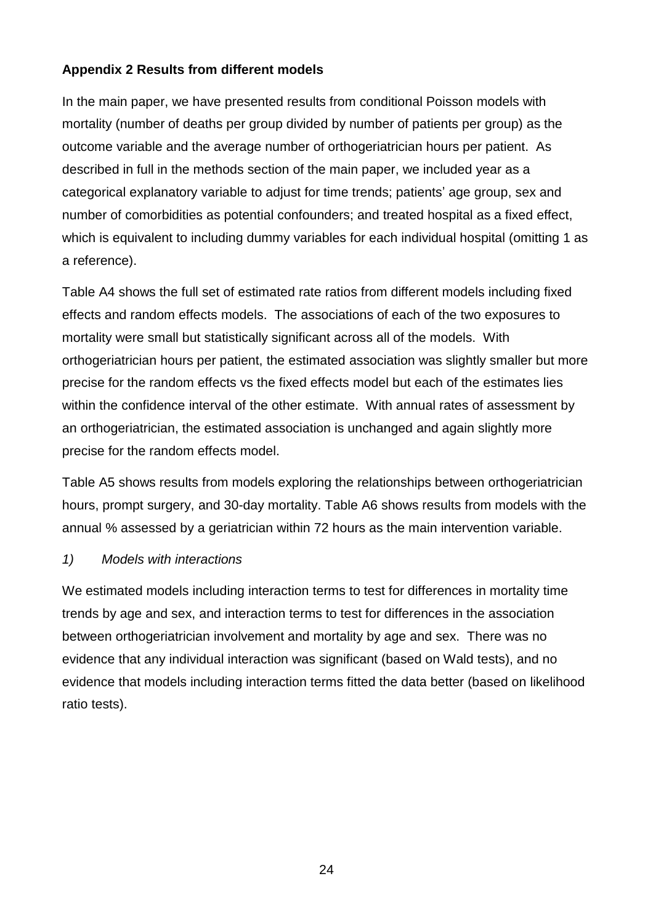# **Appendix 2 Results from different models**

In the main paper, we have presented results from conditional Poisson models with mortality (number of deaths per group divided by number of patients per group) as the outcome variable and the average number of orthogeriatrician hours per patient. As described in full in the methods section of the main paper, we included year as a categorical explanatory variable to adjust for time trends; patients' age group, sex and number of comorbidities as potential confounders; and treated hospital as a fixed effect, which is equivalent to including dummy variables for each individual hospital (omitting 1 as a reference).

Table A4 shows the full set of estimated rate ratios from different models including fixed effects and random effects models. The associations of each of the two exposures to mortality were small but statistically significant across all of the models. With orthogeriatrician hours per patient, the estimated association was slightly smaller but more precise for the random effects vs the fixed effects model but each of the estimates lies within the confidence interval of the other estimate. With annual rates of assessment by an orthogeriatrician, the estimated association is unchanged and again slightly more precise for the random effects model.

Table A5 shows results from models exploring the relationships between orthogeriatrician hours, prompt surgery, and 30-day mortality. Table A6 shows results from models with the annual % assessed by a geriatrician within 72 hours as the main intervention variable.

# *1) Models with interactions*

We estimated models including interaction terms to test for differences in mortality time trends by age and sex, and interaction terms to test for differences in the association between orthogeriatrician involvement and mortality by age and sex. There was no evidence that any individual interaction was significant (based on Wald tests), and no evidence that models including interaction terms fitted the data better (based on likelihood ratio tests).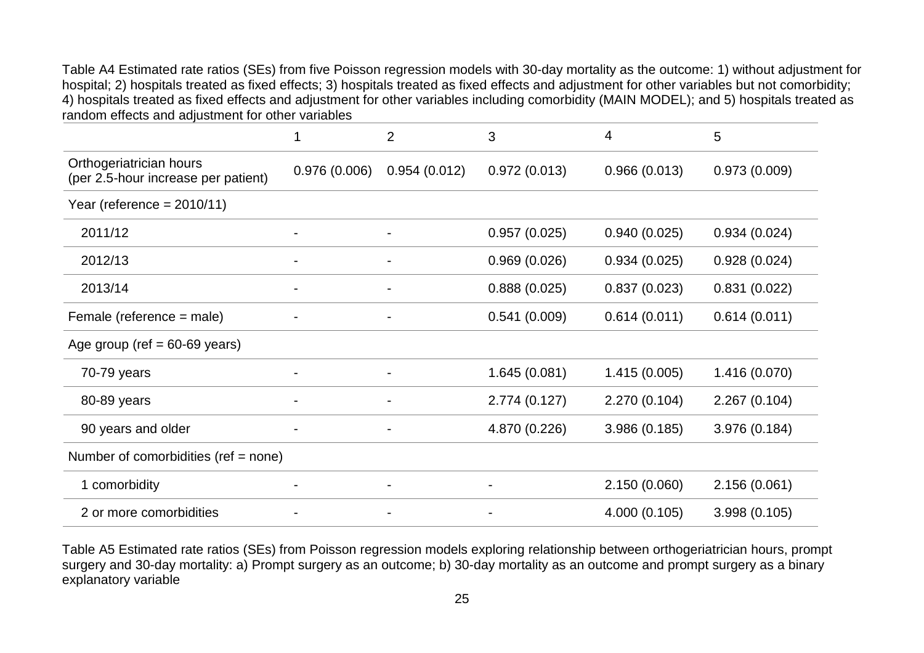Table A4 Estimated rate ratios (SEs) from five Poisson regression models with 30-day mortality as the outcome: 1) without adjustment for hospital; 2) hospitals treated as fixed effects; 3) hospitals treated as fixed effects and adjustment for other variables but not comorbidity; 4) hospitals treated as fixed effects and adjustment for other variables including comorbidity (MAIN MODEL); and 5) hospitals treated as random effects and adjustment for other variables

|                                                                | 1            | $\overline{2}$ | 3              | 4             | 5             |
|----------------------------------------------------------------|--------------|----------------|----------------|---------------|---------------|
| Orthogeriatrician hours<br>(per 2.5-hour increase per patient) | 0.976(0.006) | 0.954(0.012)   | 0.972(0.013)   | 0.966(0.013)  | 0.973(0.009)  |
| Year (reference = $2010/11$ )                                  |              |                |                |               |               |
| 2011/12                                                        |              | $\blacksquare$ | 0.957(0.025)   | 0.940(0.025)  | 0.934(0.024)  |
| 2012/13                                                        |              |                | 0.969(0.026)   | 0.934(0.025)  | 0.928(0.024)  |
| 2013/14                                                        |              |                | 0.888(0.025)   | 0.837(0.023)  | 0.831(0.022)  |
| Female (reference = male)                                      |              |                | 0.541(0.009)   | 0.614(0.011)  | 0.614(0.011)  |
| Age group (ref $= 60-69$ years)                                |              |                |                |               |               |
| 70-79 years                                                    |              | $\blacksquare$ | 1.645(0.081)   | 1.415(0.005)  | 1.416 (0.070) |
| 80-89 years                                                    |              |                | 2.774(0.127)   | 2.270 (0.104) | 2.267(0.104)  |
| 90 years and older                                             |              |                | 4.870 (0.226)  | 3.986 (0.185) | 3.976 (0.184) |
| Number of comorbidities (ref = none)                           |              |                |                |               |               |
| 1 comorbidity                                                  |              | $\blacksquare$ | $\blacksquare$ | 2.150 (0.060) | 2.156 (0.061) |
| 2 or more comorbidities                                        |              |                |                | 4.000 (0.105) | 3.998 (0.105) |

Table A5 Estimated rate ratios (SEs) from Poisson regression models exploring relationship between orthogeriatrician hours, prompt surgery and 30-day mortality: a) Prompt surgery as an outcome; b) 30-day mortality as an outcome and prompt surgery as a binary explanatory variable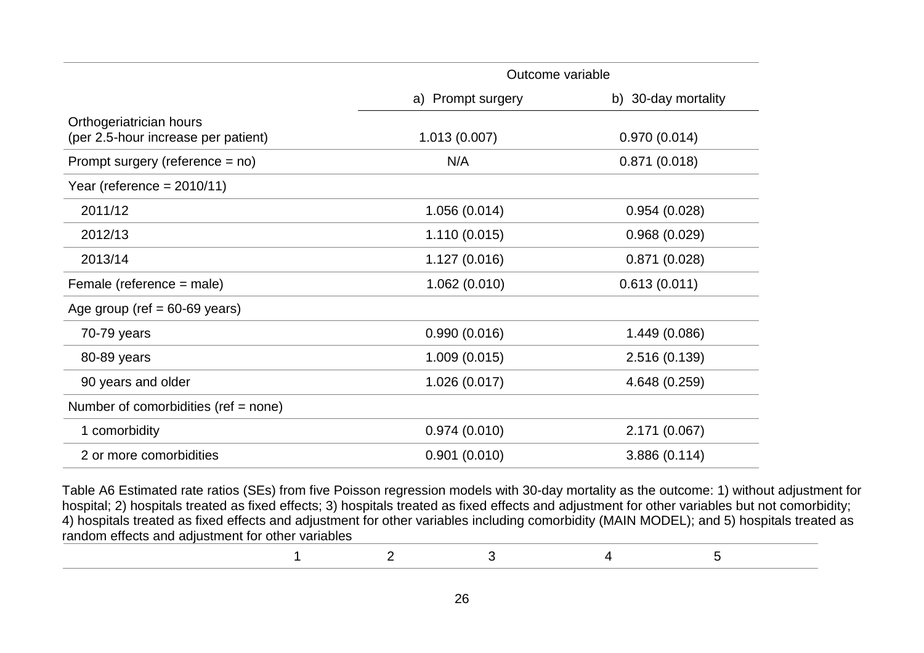|                                                                | Outcome variable  |                     |  |
|----------------------------------------------------------------|-------------------|---------------------|--|
|                                                                | a) Prompt surgery | b) 30-day mortality |  |
| Orthogeriatrician hours<br>(per 2.5-hour increase per patient) | 1.013(0.007)      | 0.970(0.014)        |  |
| Prompt surgery (reference $=$ no)                              | N/A               | 0.871(0.018)        |  |
| Year (reference = $2010/11$ )                                  |                   |                     |  |
| 2011/12                                                        | 1.056 (0.014)     | 0.954(0.028)        |  |
| 2012/13                                                        | 1.110(0.015)      | 0.968(0.029)        |  |
| 2013/14                                                        | 1.127(0.016)      | 0.871(0.028)        |  |
| Female (reference = male)                                      | 1.062(0.010)      | 0.613(0.011)        |  |
| Age group (ref $= 60-69$ years)                                |                   |                     |  |
| $70-79$ years                                                  | 0.990(0.016)      | 1.449 (0.086)       |  |
| 80-89 years                                                    | 1.009(0.015)      | 2.516 (0.139)       |  |
| 90 years and older                                             | 1.026(0.017)      | 4.648 (0.259)       |  |
| Number of comorbidities (ref = none)                           |                   |                     |  |
| 1 comorbidity                                                  | 0.974(0.010)      | 2.171 (0.067)       |  |
| 2 or more comorbidities                                        | 0.901(0.010)      | 3.886 (0.114)       |  |

Table A6 Estimated rate ratios (SEs) from five Poisson regression models with 30-day mortality as the outcome: 1) without adjustment for hospital; 2) hospitals treated as fixed effects; 3) hospitals treated as fixed effects and adjustment for other variables but not comorbidity; 4) hospitals treated as fixed effects and adjustment for other variables including comorbidity (MAIN MODEL); and 5) hospitals treated as random effects and adjustment for other variables

|  | $1 \hspace{1.5cm} 2 \hspace{1.5cm} 3 \hspace{1.5cm} 4 \hspace{1.5cm} 5$ |  |
|--|-------------------------------------------------------------------------|--|
|  |                                                                         |  |